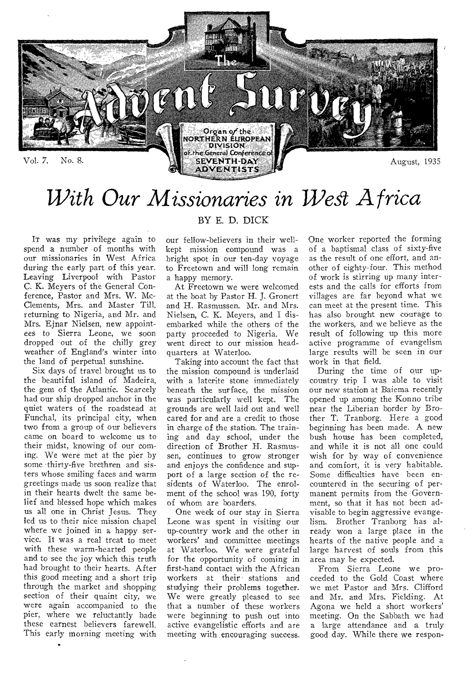

# *With Our Missionaries in West Africa*

IT was my privilege again to spend a number of months with our missionaries in West Africa during the early part of this year. Leaving Liverpool with Pastor C. K. Meyers of the General Conference, Pastor and Mrs. W. Mc-Clements, Mrs. and Master Till, returning to Nigeria, and Mr. and Mrs. Ejnar Nielsen, new appointees to Sierra Leone, we soon dropped out of the chilly grey weather of England's winter into the land of perpetual sunshine.

Six days of travel brought us to the beautiful island of Madeira, the gem of the Atlantic. Scarcely had our ship dropped anchor in the quiet waters of the roadstead at Funchal, its principal city, when two from a group of our believers came on board to welcome us to their midst, knowing of our coming. We were met at the pier by some thirty-five brethren and sisters whose smiling faces and warm greetings made us soon realize that in their hearts dwelt the same belief and blessed hope which makes us all one in Christ Jesus. They led us to their nice mission chapel where we joined in a happy service. It was a real treat to meet with these warm-hearted people and to see the joy which this truth had brought to their hearts. After this good meeting and a short trip through the market and shopping section of their quaint city, we were again accompanied to the pier, where we reluctantly bade these earnest believers farewell. This early morning meeting with

### BY E. D. DICK

our fellow-believers in their wellkept mission compound was a bright spot in our ten-day voyage to Freetown and will long remain a happy memory.

At Freetown we were welcomed at the boat by Pastor H. J. Gronert and H. Rasmussen. Mr. and Mrs. Nielsen, C. K. Meyers, and I disembarked while the others of the party proceeded to Nigeria. We went direct to our mission headquarters at Waterloo.

Taking into account the fact that the mission compound is underlaid with a laterite stone immediately beneath the surface, the mission was particularly well kept. The grounds are well laid out and well cared for and are a credit to those in charge of the station. The training and day school, under the direction of Brother H. Rasmussen, continues to grow stronger and enjoys the confidence and support of a large section of the residents of Waterloo. The enrolment of the school was 190, forty of whom are boarders.

One week of our stay in Sierra Leone was spent in visiting our up-country work and the other in workers' and committee meetings at Waterloo. We were grateful for the opportunity of coming in first-hand contact with the African workers at their stations and studying their problems together. We were greatly pleased to see that a number of these workers were beginning to push out into active evangelistic efforts and are meeting with encouraging success.

One worker reported the forming of a baptismal class of sixty-five as the result of one effort, and another of eighty-four. This method of work is stirring up many interests and the calls for efforts from villages are far beyond what we can meet at the present time. This has also brought new courage to the workers, and we believe as the result of following up this more active programme of evangelism large results will be seen in our work in that field.

During the time of our upcountry trip I was able to visit our new station at Baiema recently opened up among the Konno tribe near the Liberian border by Brother T. Tranborg. Here a good beginning has been made. A new bush house has been completed, and while it is not all one could wish for by way of convenience and comfort, it is very habitable. Some difficulties have been encountered in the securing of permanent permits from the Government, so that it has not been advisable to begin aggressive evangelism. Brother Tranborg has already won a large place in the hearts of the native people and a large harvest of souls from this area may be expected.

From Sierra Leone we proceeded to the Gold Coast where we met Pastor and Mrs. Clifford and Mr. and Mrs. Fielding. At Agona we held a short workers' meeting. On the Sabbath we had a large attendance and a truly good day. While there we respon-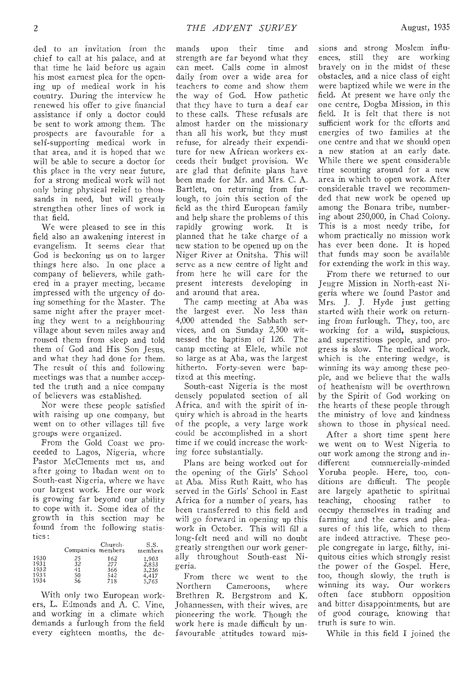ded to an invitation from the chief to call at his palace, and at that time he laid before us again his most earnest plea for the opening, up of medical work in his country. During the interview he renewed his offer to give financial assistance if only a doctor could be sent to work among them. The prospects are favourable for a self-supporting medical work in that area, and it is hoped that we will be able to secure a doctor for this place in the very near future, for a strong medical work will not only bring physical relief to thousands in need, but will greatly strengthen other lines of work in that field.

We were pleased to see in this field also an awakening interest in evangelism. It seems clear that God is beckoning us on to larger things here also. In one place a company of believers, while gathered in a prayer meeting, became impressed with the urgency of doing something for the Master. The same night after the prayer meeting they went to a neighbouring village about seven miles away and roused them from sleep and told them of God and His Son Jesus, and what they had done for them. The result of this and following meetings was that a number accepted the truth and a nice company of believers was established.

Nor were these people satisfied with raising up one company, but went on to other villages till five groups were organized.

From the Gold Coast we proceeded to Lagos, Nigeria, where Pastor McClements met us, and after going to Ibadan went on to South-east Nigeria, where we have our largest work. Here our work is growing far beyond our ability to cope with it. Some idea of the growth in this section may be found from the following statistics :

|      | Companies members | Church- | S.S.<br>members |
|------|-------------------|---------|-----------------|
| 1930 | 25                | 162     | 1.903           |
| 1931 | 32                | 277     | 2,853           |
| 1932 | 41                | 366     | 3,236           |
| 1933 | 50                | 542     | 4.417           |
| 1934 | 56                | 718     | 5.765           |

With only two European workers, L. Edmonds and A. C. Vine, and working in a climate which demands a furlough from the field every eighteen months, the demands upon their time and strength are far beyond what they can meet. Calls come in almost daily from over a wide area for teachers to come and show them the way of God. How pathetic that they have to turn a deaf ear to these calls. These refusals are almost harder on the missionary than all his work, but they must refuse, for already their expenditure for new African workers exceeds their budget provision. We are glad that definite plans have been made for Mr. and Mrs. C. A. Bartlett, on returning from furlough, to join this section of the field as the third European family and help share the problems of this rapidly growing work. It is planned that he take charge of a new station to be opened up on the Niger River at Onitsha. This will serve as a new centre of light and from here he will care for the present interests developing in and around that area.

The camp meeting at Aba was the largest ever. No less than 4,000 attended the Sabbath services, and on Sunday 2,500 witnessed the baptism of 126. The camp meeting at Elele, while not so large as at Aba, was the largest hitherto. Forty-seven were baptized at this meeting.

South-east Nigeria is the most densely populated section of all Africa, and with the spirit of inquiry which is abroad in the hearts of the people, a very large work could be accomplished in a short time if we could increase the working force substantially.

Plans are being worked out for the opening of the Girls' School at Aba. Miss Ruth Raitt, who has served in the Girls' School in East Africa for a number of years, has been transferred to this field and will go forward in opening up this work in October. This will fill a long-felt need and will no doubt greatly strengthen our work generally throughout South-east Nigeria.

From there we went to the<br>Northern Cameroons. where Cameroons, Brethren R. Bergstrom and K. Johannessen, with their wives, are pioneering the work. Though the work here is made difficult by unfavourable attitudes toward missions and strong Moslem influences, still they are working bravely on in the midst of these obstacles, and a nice class of eight were baptized while we were in the field. At present we have only the one centre, Dogba Mission, in this field. It is felt that there is not sufficient work for the efforts and energies of two families at the one centre and that we should open a new station at an early date. While there we spent considerable time scouting around for a new area in which to open work. After considerable travel we recommended that new work be opened up among the Bonara tribe, numbering about 250,000, in Chad Colony. This is a most needy tribe, for whom practically no mission work has ever been done. It is hoped that funds may soon be available for extending the work in this way.

From there we returned to our Jengre Mission in North-east Nigeria where we found Pastor and Mrs. J. J. Hyde just getting started with their work on returning from furlough. They, too, are working for a wild, suspicious, and superstitious people, and progress is slow. The medical work, which is the entering wedge, is winning its way among these people, and we believe that the walls of heathenism will be overthrown by the Spirit of God working on the hearts of these people through the ministry of love and kindness shown to those in physical need.

After a short time spent here we went on to West Nigeria to our work among the strong and indifferent commercially-minded Yoruba people. Here, too, conditions are difficult. The people are largely apathetic to spiritual<br>teaching, choosing rather to choosing rather to occupy themselves in trading and farming and the cares and pleasures of this life, which to them are indeed attractive. These people congregate in large, filthy, iniquitous cities which strongly resist the power of the Gospel. Here, too, though slowly, the truth is winning its way. Our workers often face stubborn opposition and bitter disappointments, but are of good courage, knowing that truth is sure to win.

While in this field I joined the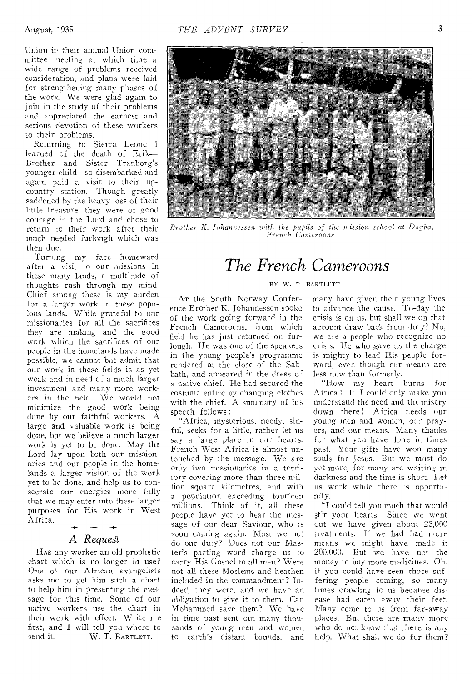Union in their annual Union committee meeting at which time a wide range of problems received consideration, and plans were laid for strengthening many phases of the work. We were glad again to join in the study of their problems and appreciated the earnest and serious devotion of these workers to their problems.

Returning to Sierra Leone I learned of the death of Erik— Brother and Sister Tranborg's younger child—so disembarked and again paid a visit to their upcountry station. Though greatly saddened by the heavy loss of their little treasure, they were of good courage in the Lord and chose to return to their work after their much needed furlough which was then due.

Turning my face homeward after a visit to our missions in these many lands, a multitude of thoughts rush through my mind. Chief among these is my burden for a larger work in these populous lands. While grateful to our missionaries for all the sacrifices they are making and the good work which the sacrifices of our people in the homelands have made possible, we cannot but admit that our work in these fields is as yet weak and in need of a much larger investment and many more workers in the field. We would not minimize the good work being done by our faithful workers. A large and valuable work is being done, but we believe a much larger work is yet to be done. May the Lord lay upon both our missionaries and our people in the homelands a larger vision of the work yet to be done, and help us to consecrate our energies more fully that we may enter into these larger purposes for His work in West Africa. -4-

### *A Request*

Has any worker an old prophetic chart which is no longer in use? One of our African evangelists asks me to get him such a chart to help him in presenting the message for this time. Some of our native workers use the chart in their work with effect. Write me first, and I will tell you where to send it.  $W$ . T. BARTLETT. W. T. BARTLETT.



*Brother K. Johannessen with the pupils of the mission school at Dogba, French Cameroons.* 

## *The French Cameroons*

#### BY W. T. BARTLETT

AT the South Norway Conference Brother K. Johannessen spoke of the work going forward in the French Cameroons, from which field he has just returned on furlough. He was one of the speakers in the young people's programme rendered at the close of the Sabbath, and appeared in the dress of a native chief. He had secured the costume entire by changing clothes with the chief. A summary of his speech follows :

"Africa, mysterious, needy, sinful, seeks for a little, rather let us say a large place in our hearts. French West Africa is almost untouched by the message. We are only two missionaries in a territory covering more than three million square kilometres, and with a population exceeding fourteen millions. Think of it, all these people have yet to hear the message of our dear Saviour, who is soon coming again. Must we not do our duty? Does not our Master's parting word charge us to carry His Gospel to all men? Were not all these Moslems and heathen included in the commandment? Indeed, they were, and we have an obligation to give it to them. Can Mohammed save them? We have in time past sent out many thousands of young men and women to earth's distant bounds, and

many have given their young lives to advance the cause. To-day the crisis is on us, but shall we on that account draw back from duty? No, we are a people who recognize no crisis. He who gave us the charge is mighty to lead His people forward, even though our means are less now than formerly.

"How my heart burns for Africa! If I could only make you understand the need and the misery down there! Africa needs our young men and women, our prayers, and our means. Many thanks for what you have done in times past. Your gifts have won many souls for Jesus. But we must do yet more, for many are waiting in darkness and the time is short. Let us work while there is opportunity.

"I could tell you much that would stir your hearts. Since we went out we have given about 25,000 treatments. If we had had more means we might have made it 200,000. But we have not the money to buy more medicines. Oh, if you could have seen those suffering people coming, so many times crawling to us because disease had eaten away their feet. Many come to us from far-away places. But there are many more who do not know that there is any help. What shall we do for them?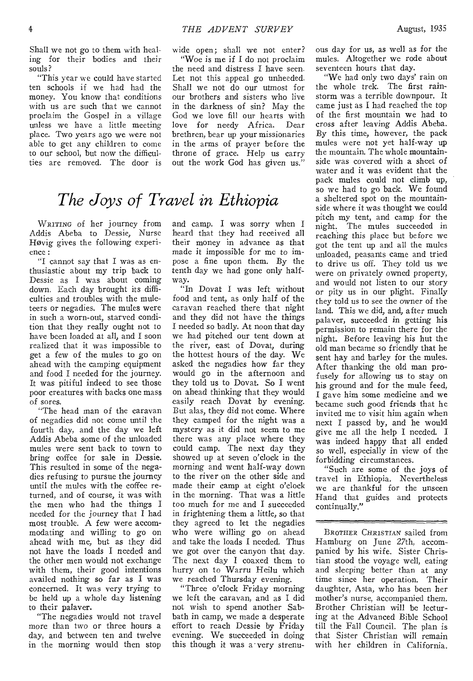Shall we not go to them with healing for their bodies and their souls?

"This year we could have started ten schools if we had had the money. You know that conditions with us are such that we cannot proclaim the Gospel in a village unless we have a little meeting place. Two years ago we were not able to get any children to come to our school, but now the difficulties are removed. The door is

wide open; shall we not enter?

"Woe *is* me if I do not proclaim the need and distress I have seen. Let not this appeal go unheeded. Shall we not do our utmost for our brothers and sisters who live in the darkness of sin? May the God we love fill our hearts with love for needy Africa. Dear brethren, bear up your missionaries in the arms of prayer before the throne of grace. Help us carry out the work God has given us."

## *The Joys of Travel in Ethiopia*

WRITING of her journey from Addis Abeba to Dessie, Nurse Hovig gives the following experience :

"I cannot say that I was as enthusiastic about my trip back to Dessie as I was about coming down. Each day brought its difficulties and troubles with the muleteers or negadies. The mules were in such a worn-out, starved condition that they really ought not to have been loaded at all, and I soon realized that it was impossible to get a few of the mules to go on ahead with the camping equipment and food I needed for the journey. It was pitiful indeed to see those poor creatures with backs one mass of sores.

"The head man of the caravan of negadies did not come until the fourth day, and the day we left Addis Abeba some of the unloaded mules were sent back to town to bring coffee for sale in Dessie. This resulted in some of the negadies refusing to pursue the journey until the mules with the coffee returned, and of course, it was with the men who had the things I needed for the journey that I had most trouble. A few were accommodating and willing to go on ahead with me, but as they did not have the loads I needed and the other men would not exchange with them, their good intentions availed nothing so far as I was concerned. It was very trying to be held up a whole day listening to their palaver.

"The negadies would not travel more than two or three hours a day, and between ten and twelve in the morning would then stop

and camp. I was sorry when I heard that they had received all their money in advance as that made it impossible for me to impose a fine upon them. By the tenth day we had gone only halfway.

"In Dovat I was left without food and tent, as only half of the caravan reached there that night and they did not have the things I needed so badly. At noon that day we had pitched our tent down at the river, east of Dovat, during the hottest hours of the day. We asked the negadies how far they would go in the afternoon and they told us to Dovat. So I went on ahead thinking that they would easily reach Dovat by evening. But alas, they did not come. Where they camped for the night was a mystery as it did not seem to me there was any place where they could camp. The next day they showed up at seven o'clock in the morning and went half-way down to the river on the other side and made their camp at eight o'clock in the morning. That was a little too much for me and I succeeded in frightening them a little, so that they agreed to let the negadies who were willing go on ahead and take the loads I needed. Thus we got over the canyon that day. The next day I coaxed them to hurry on to Warru Heilu which we reached Thursday evening.

"Three o'clock Friday morning we left the caravan, and as I did not wish to spend another Sabbath in camp, we made a desperate effort to reach Dessie by Friday evening. We succeeded in doing this though it was a very strenuous day for us, as well as for the mules. Altogether we rode about seventeen hours that day.

"We had only two days' rain on the whole trek. The first rainstorm was a terrible downpour. It came just as I had reached the top of the first mountain we had to cross after leaving Addis Abeba. By this time, however, the pack mules were not yet half-way up the mountain. The whole mountainside was covered with a sheet of water and it was evident that the pack mules could not climb up, so we had to go back. We found a sheltered spot on the mountainside where it was thought we could pitch my tent, and camp for the night. The mules succeeded in reaching this place but before we got the tent up and all the mules unloaded, peasants came and tried to drive us off. They told us we were on privately owned property, and would not listen to our story or pity us in our plight. Finally they told us to see the owner of the land. This we did, and, after much palaver, succeeded in getting his permission to remain there for the night. Before leaving his hut the old man became so friendly that he sent hay and barley for the mules. After thanking the old man profusely for allowing us to stay on his ground and for the mule feed, I gave him some medicine and we became such good friends that he invited me to visit him again when next I passed by, and he would give me all the help I needed. I was indeed happy that all ended so well, especially in view of the forbidding circumstances.

"Such are some of the joys of travel in Ethiopia. Nevertheless we are thankful for the unseen Hand that guides and protects continually."

BROTHER CHRISTIAN sailed from Hamburg on June 27th, accompanied by his wife. Sister Christian stood the voyage well, eating and sleeping better than at any time since her operation. Their daughter, Asta, who has been her mother's nurse, accompanied them. Brother Christian will be lecturing at the Advanced Bible School till the Fall Council. The plan is that Sister Christian will remain with her children in California.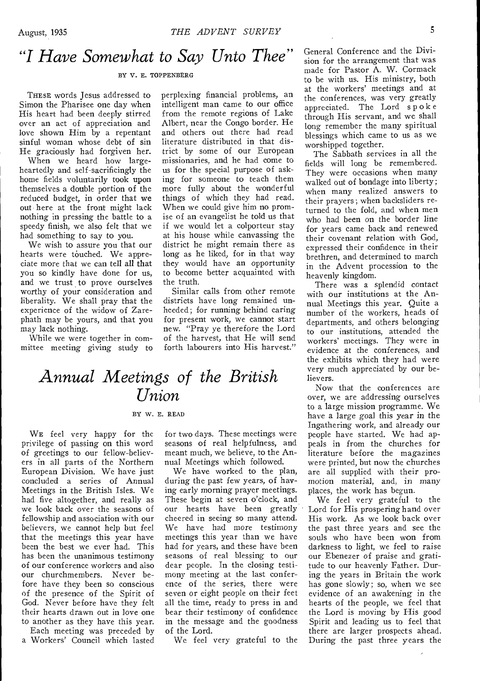### *"I Have Somewhat to Say Unto Thee"*

#### BY V. E. TOPPENBERG

THESE words Jesus addressed to Simon the Pharisee one day when His heart had been deeply stirred over an act of appreciation and love shown Him by a repentant sinful woman whose debt of sin He graciously had forgiven her.

When we heard how largeheartedly and self-sacrificingly the home fields voluntarily took upon themselves a double portion of the reduced budget, in order that we out here at the front might lack nothing in pressing the battle to a speedy finish, we also felt that we had something to say to you.

We wish to assure you that our hearts were touched. We appreciate more that we can tell all that you so kindly have done for us, and we trust to prove ourselves worthy of your consideration and liberality. We shall pray that the experience of the widow of Zarephath may be yours, and that you may lack nothing.

While we were together in committee meeting giving study to perplexing financial problems, an intelligent man came to our office from the remote regions of Lake Albert, near the Congo border. He and others out there had read literature distributed in that district by some of our European missionaries, and he had come to us for the special purpose of asking for someone to teach them more fully about the wonderful things of which they had read. When we could give him no promise of an evangelist he told us that if we would let a colporteur stay at his house while canvassing the district he might remain there as long as he liked, for in that way they would have an opportunity to become better acquainted with the truth.

Similar calls from other remote districts have long remained unheeded; for running behind caring for present work, we cannot start new. "Pray ye therefore the Lord of the harvest, that He will send forth labourers into His harvest."

### *Annual Meetings of the British Union*

#### BY W. E. READ

WE feel very happy for the privilege of passing on this word of greetings to our fellow-believers in all parts of the Northern European Division. We have just concluded a series of Annual Meetings in the British Isles. We had five altogether, and really as we look back over the seasons of fellowship and association with our believers, we cannot help but feel that the meetings this year have been the best we ever had. This has been the unanimous testimony of our conference workers and also our churchmembers. Never before have they been so conscious of the presence of the Spirit of God. Never before have they felt their hearts drawn out in love one to another as they have this year.

Each meeting was preceded by a Workers' Council which lasted for two days. These meetings were seasons of real helpfulness, and meant much, we believe, to the Annual Meetings which followed.

We have worked to the plan, during the past few years, of having early morning prayer meetings. These begin at seven o'clock, and our hearts have been greatly cheered in seeing so many attend. We have had more testimony meetings this year than we have had for years, and these have been seasons of real blessing to our dear people. In the closing testimony meeting at the last conference of the series, there were seven or eight people on their feet all the time, ready to press in and bear their testimony of confidence in the message and the goodness of the Lord.

We feel very grateful to the

General Conference and the Division for the arrangement that was made for Pastor A. W. Cormack to be with us. His ministry, both at the workers' meetings and at the conferences, was very greatly appreciated. The Lord spoke through His servant, and we shall long remember the many spiritual blessings which came to us as we worshipped together.

The Sabbath services in all the fields will long be remembered. They were occasions when many walked out of bondage into liberty; when many realized answers to their prayers; when backsliders returned to the fold, and when men who had been on the border line for years came back and renewed their covenant relation with God, expressed their confidence in their brethren, and determined to march in the Advent procession to the heavenly kingdom.

There was a splendid contact with our institutions at the Annual Meetings this year. Quite a number of the workers, heads of departments, and others belonging to our institutions, attended the workers' meetings. They were in evidence at the conferences, and the exhibits which they had were very much appreciated by our believers.

Now that the conferences are over, we are addressing ourselves to a large mission programme. We have a large goal this year in the Ingathering work, and already our people have started. We had appeals in from the churches for literature before the magazines were printed, but now the churches are all supplied with their promotion material, and, in many places, the work has begun.

We feel very grateful to the Lord for His prospering hand over His work. As we look back over the past three years and see the souls who have been won from darkness to light, we feel to raise our Ebenezer of praise and gratitude to our heavenly Father. During the years in Britain the work has gone slowly; so, when we see evidence of an awakening in the hearts of the people, we feel that the Lord is moving by His good Spirit and leading us to feel that there are larger prospects ahead. During the past three years the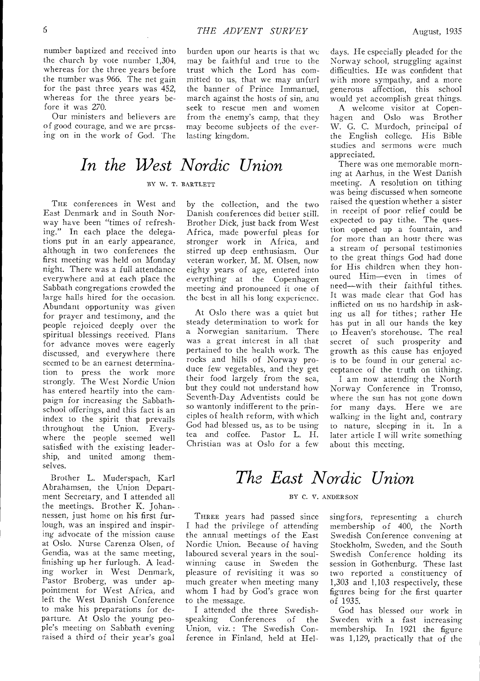burden upon our hearts is that we may be faithful and true to the trust which the Lord has com-

number baptized and received into the church by vote number 1,304, whereas for the three years before the number was 966. The net gain for the past three years was 452, whereas for the three years before it was 270.

Our ministers and believers are of good courage, and we are pressing on in the work of God. The

mitted to us, that we may unfurl the banner of Prince Immanuel, march against the hosts of sin, ana seek to rescue men and women from the enemy's camp, that they may become subjects of the everlasting kingdom.

## *In the West Nordic Union*

### BY *w.* T. BARTLETT

THE conferences in West and East Denmark and in South Norway have been "times of refreshing." In each place the delegations put in an early appearance, although in two conferences the first meeting was held on Monday night. There was a full attendance everywhere and at each place the Sabbath congregations crowded the large halls hired for the occasion. Abundant opportunity was given for prayer and testimony, and the people rejoiced deeply over the spiritual blessings received. Plans for advance moves were eagerly discussed, and everywhere there seemed to be an earnest determination to press the work more strongly. The West Nordic Union has entered heartily into the campaign for increasing the Sabbathschool offerings, and this fact is an index to the spirit that prevails<br>throughout the Union. Everythroughout the Union. where the people seemed well satisfied with the existing leadership, and united among themselves.

Brother L. Muderspach, Karl Abrahamsen, the Union Department Secretary, and I attended all the meetings. Brother K. Johannessen, just home on his first furlough, was an inspired and inspiring advocate of the mission cause at Oslo. Nurse Carenza Olsen, of Gendia, was at the same meeting, finishing up her furlough. A leading worker in West Denmark, Pastor Broberg, was under appointment for West Africa, and left the West Danish Conference to make his preparations for departure. At Oslo the young people's meeting on Sabbath evening raised a third of their year's goal

by the collection, and the two Danish conferences did better still. Brother Dick, just back from West Africa, made powerful pleas for stronger work in Africa, and stirred up deep enthusiasm. Our veteran worker, M. M. Olsen, now eighty years of age, entered into everything at the Copenhagen meeting and pronounced it one of the best in all his long experience.

At Oslo there was a quiet but steady determination to work for a Norwegian sanitarium. There was a great interest in all that pertained to the health work. The rocks and hills of Norway produce few vegetables, and they get their food largely from the sea, but they could not understand how Seventh-Day Adventists could be so wantonly indifferent to the principles of health reform, with which God had blessed us, as to be using tea and coffee. Pastor L. H. Christian was at Oslo for a few

days. He especially pleaded for the Norway school, struggling against difficulties. He was confident that with more sympathy, and a more generous affection, this school would yet accomplish great things.

A welcome visitor at Copenhagen and Oslo was Brother W. G. C. Murdoch, principal of the English college. His Bible studies and sermons were much appreciated.

There was one memorable morning at Aarhus, in the West Danish meeting. A resolution on tithing was being discussed when someone raised the question whether a sister in receipt of poor relief could be expected to pay tithe. The question opened up a fountain, and for more than an hour there was a stream of personal testimonies to the great things God had done for His children when they honoured Him—even in times of need—with their faithful tithes. It was made clear that God has inflicted on us no hardship in asking us all for tithes; rather He has put in all our hands the key to Heaven's storehouse. The real secret of such prosperity and growth as this cause has enjoyed is to be found in our general acceptance of the truth on tithing.

I am now attending the North Norway Conference in Tromso, where the sun has not gone down for many days. Here we are walking in the light and, contrary to nature, sleeping in it. In a later article I will write something about this meeting.

## *The East Nordic Union*

#### BY C. V. ANDERSON

THREE years had passed since I had the privilege of attending the annual meetings of the East Nordic Union. Because of having laboured several years in the soulwinning cause in Sweden the pleasure of revisiting it was so much greater when meeting many whom I had by God's grace won to the message.

I attended the three Swedish-<br>speaking Conferences of the Conferences of the Union, viz.: The Swedish Conference in Finland, held at Helsingfors, representing a church membership of 400, the North Swedish Conference convening at Stockholm, Sweden, and the South Swedish Conference holding its session in Gothenburg. These last two reported a constituency of 1,303 and 1,103 respectively, these figures being for the first quarter of 1935.

God has blessed our work in Sweden with a fast increasing membership. In 1921 the figure was 1,129, practically that of the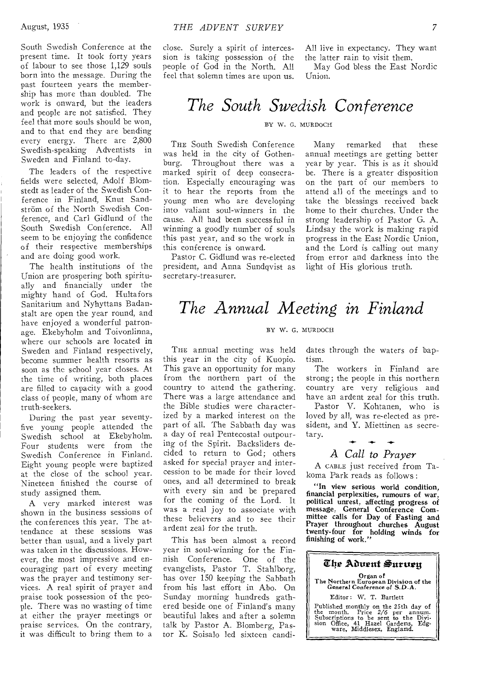South Swedish Conference at the present time. It took forty years of labour to see those 1,129 souls born into the message. During the past fourteen years the membership has more than doubled. The work is onward, but the leaders and people are not satisfied. They feel that more souls should be won, and to that end they are bending every energy. There are 2,800 Swedish-speaking Adventists in Sweden and Finland to-day.

The leaders of the respective fields were selected, Adolf Blomstedt as leader of the Swedish Conference in Finland, Knut Sandström of the North Swedish Conference, and Carl Gidlund of the South Swedish Conference. All seem to be enjoying the confidence of their respective memberships and are doing good work.

The health institutions of the Union are prospering both spiritually and financially under the mighty hand of God. Hultafors Sanitarium and Nyhyttans Badanstalt are open the year round, and have enjoyed a wonderful patronage. Ekebyholm and Toivonlinna, where our schools are located in Sweden and Finland respectively, become summer health resorts as soon as the school year closes. At the time of writing, both places are filled to capacity with a good class of people, many of whom are truth-seekers.

During the past year seventyfive young people attended the Swedish school at Ekebyholm. Four students were from the Swedish Conference in Finland. Eight young people were baptized at the close of the school year. Nineteen finished the course of study assigned them.

A very marked interest was shown in the business sessions of the conferences this year. The attendance at these sessions was better than usual, and a lively part was taken in the discussions. However, the most impressive and encouraging part of every meeting was the prayer and testimony services. A real spirit of prayer and praise took possession of the people. There was no wasting of time at either the prayer meetings or praise services. On the contrary, it was difficult to bring them to a close. Surely a spirit of intercession is taking possession of the people of God in the North. All feel that solemn times are upon us.

All live in expectancy. They want the latter rain to visit them.

May God bless the East Nordic Union.

### *The South Swedish Conference*

#### BY W. G. MURDOCH

THE South Swedish Conference was held in the city of Gothenburg. Throughout there was a marked spirit of deep consecration. Especially encouraging was it to hear the reports from the young men who are developing into valiant soul-winners in the cause. All had been successful in winning a goodly number of souls this past year, and so the work in this conference is onward.

Pastor C. Gidlund was re-elected president, and Anna Sundqvist as secretary-treasurer.

Many remarked that these annual meetings are getting better year by year. This is as it should be. There is a greater disposition on the part of our members to attend all of the meetings and to take the blessings received back home to their churches. Under the strong leadership of Pastor G. A. Lindsay the work is making rapid progress in the East Nordic Union, and the Lord is calling out many from error and darkness into the light of His glorious truth.

### *The Annual Meeting in Finland*

#### BY W. *G.* MURDOCH

THE annual meeting was held this year in the city of Kuopio. This gave an opportunity for many from the northern part of the country to attend the gathering. There was a large attendance and the Bible studies were characterized by a marked interest on the part of all. The Sabbath day was a day of real Pentecostal outpouring of the Spirit. Backsliders decided to return to God; others asked for special prayer and intercession to be made for their loved ones, and all determined to break with every sin and be prepared for the coming of the Lord. It was a real joy to associate with these believers and to see their ardent zeal for the truth.

This has been almost a record year in soul-winning for the Finnish Conference. One of the evangelists, Pastor T. Stahlborg, has over 150 keeping the Sabbath from his last effort in Abo. On Sunday morning hundreds gathered beside one of Finland's many beautiful lakes and after a solemn talk by Pastor A. Blomberg, Pastor K. Soisalo led sixteen candidates through the waters of baptism.

The workers in Finland are strong; the people in this northern country are very religious and have an ardent zeal for this truth.

Pastor V. Kohtanen, who is loved by all, was re-elected as president, and Y. Miettinen as secretary.

### *A Call to Prayer*

A CABLE just received from Takoma Park reads as follows :

"In view serious world condition, financial perplexities, rumours of war, political unrest, affecting progress of message, General Conference Committee calls for Day of Fasting and Prayer throughout churches August twenty-four for holding winds for finishing of work."